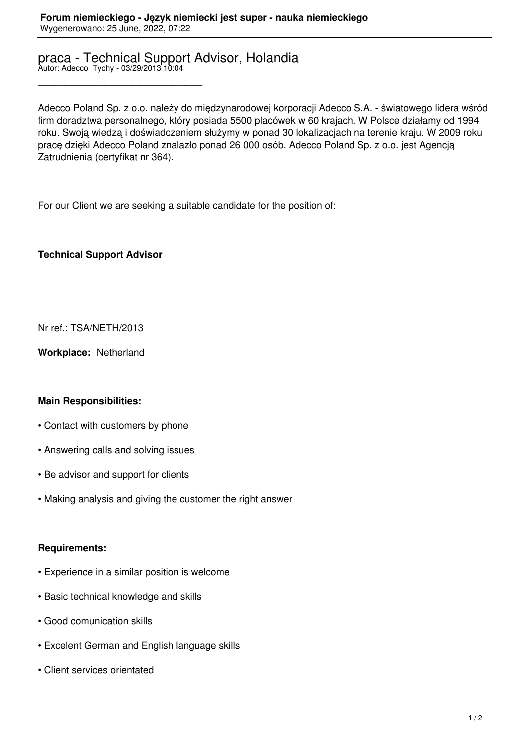# praca - Technical Support Advisor, Holandia Autor: Adecco\_Tychy - 03/29/2013 10:04

Adecco Poland Sp. z o.o. należy do międzynarodowej korporacji Adecco S.A. - światowego lidera wśród firm doradztwa personalnego, który posiada 5500 placówek w 60 krajach. W Polsce działamy od 1994 roku. Swoją wiedzą i doświadczeniem służymy w ponad 30 lokalizacjach na terenie kraju. W 2009 roku pracę dzięki Adecco Poland znalazło ponad 26 000 osób. Adecco Poland Sp. z o.o. jest Agencją Zatrudnienia (certyfikat nr 364).

For our Client we are seeking a suitable candidate for the position of:

### **Technical Support Advisor**

\_\_\_\_\_\_\_\_\_\_\_\_\_\_\_\_\_\_\_\_\_\_\_\_\_\_\_\_\_\_\_\_\_\_\_\_\_

Nr ref.: TSA/NETH/2013

**Workplace:** Netherland

## **Main Responsibilities:**

- Contact with customers by phone
- Answering calls and solving issues
- Be advisor and support for clients
- Making analysis and giving the customer the right answer

#### **Requirements:**

- Experience in a similar position is welcome
- Basic technical knowledge and skills
- Good comunication skills
- Excelent German and English language skills
- Client services orientated